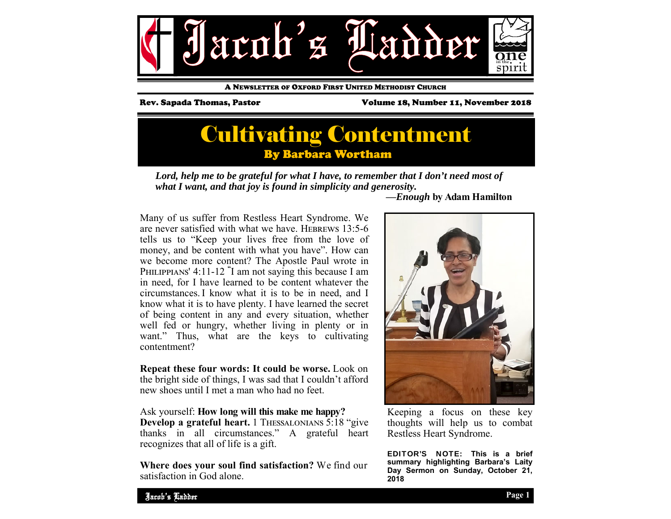

A NEWSLETTER OF OXFORD FIRST UNITED METHODIST CHURCH

Rev. Sapada Thomas, Pastor Volume 18, Number 11, November 2018

## Cultivating Contentment By Barbara Wortham

Lord, help me to be grateful for what I have, to remember that I don't need most of *what I want, and that joy is found in simplicity and generosity.* 

Many of us suffer from Restless Heart Syndrome. We are never satisfied with what we have. HEBREWS  $13:5-6$ tells us to "Keep your lives free from the love of money, and be content with what you have". How can we become more content? The Apostle Paul wrote in PHILIPPIANS' 4:11-12 <sup>"</sup>I am not saying this because I am in need, for I have learned to be content whatever the circumstances.I know what it is to be in need, and I know what it is to have plenty. I have learned the secret of being content in any and every situation, whether well fed or hungry, whether living in plenty or in want." Thus, what are the keys to cultivating contentment?

**Repeat these four words: It could be worse.** Look on the bright side of things, I was sad that I couldn't afford new shoes until I met a man who had no feet.

Ask yourself: **How long will this make me happy? Develop a grateful heart.** 1 THESSALONIANS 5:18 "give" thanks in all circumstances." A grateful heart recognizes that all of life is a gift.

**Where does your soul find satisfaction?** We find our satisfaction in God alone.

 **—***Enough* **by Adam Hamilton** 



Keeping a focus on these key thoughts will help us to combat Restless Heart Syndrome.

EDITOR'S NOTE: **This is a brief summary highlighting Barbara's Laity Day Sermon on Sunday, October 21, 2018**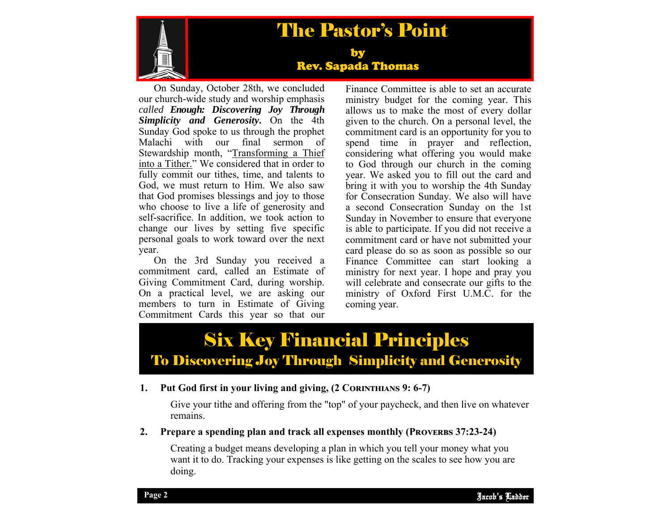

# The Pastor's Point

#### by Rev. Sapada Thomas

On Sunday, October 28th, we concluded our church-wide study and worship emphasis *called Enough: Discovering Joy Through Simplicity and Generosity***.** On the 4th Sunday God spoke to us through the prophet Malachi with our final sermon of Stewardship month, "Transforming a Thief into a Tither." We considered that in order to fully commit our tithes, time, and talents to God, we must return to Him. We also saw that God promises blessings and joy to those who choose to live a life of generosity and self-sacrifice. In addition, we took action to change our lives by setting five specific personal goals to work toward over the next year.

On the 3rd Sunday you received a commitment card, called an Estimate of Giving Commitment Card, during worship. On a practical level, we are asking our members to turn in Estimate of Giving Commitment Cards this year so that our

Finance Committee is able to set an accurate ministry budget for the coming year. This allows us to make the most of every dollar given to the church. On a personal level, the commitment card is an opportunity for you to spend time in prayer and reflection, considering what offering you would make to God through our church in the coming year. We asked you to fill out the card and bring it with you to worship the 4th Sunday for Consecration Sunday. We also will have a second Consecration Sunday on the 1st Sunday in November to ensure that everyone is able to participate. If you did not receive a commitment card or have not submitted your card please do so as soon as possible so our Finance Committee can start looking a ministry for next year. I hope and pray you will celebrate and consecrate our gifts to the ministry of Oxford First U.M.C. for the coming year.

# Six Key Financial Principles To Discovering Joy Through Simplicity and Generosity

#### **1.** Put God first in your living and giving, (2 CORINTHIANS 9: 6-7)

Give your tithe and offering from the "top" of your paycheck, and then live on whatever remains.

#### **2.** Prepare a spending plan and track all expenses monthly (PROVERBS 37:23-24)

Creating a budget means developing a plan in which you tell your money what you want it to do. Tracking your expenses is like getting on the scales to see how you are doing.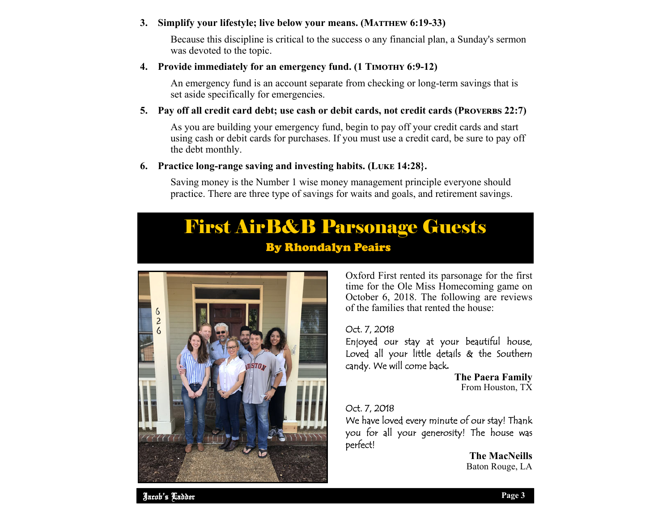#### **3. Simplify your lifestyle; live below your means. (MATTHEW 6:19-33)**

Because this discipline is critical to the success o any financial plan, a Sunday's sermon was devoted to the topic.

#### **4.** Provide immediately for an emergency fund. (1 TIMOTHY 6:9-12)

An emergency fund is an account separate from checking or long-term savings that is set aside specifically for emergencies.

#### **5. Pay off all credit card debt; use cash or debit cards, not credit cards (PROVERBS 22:7)**

As you are building your emergency fund, begin to pay off your credit cards and start using cash or debit cards for purchases. If you must use a credit card, be sure to pay off the debt monthly.

#### **6.** Practice long-range saving and investing habits. (LUKE 14:28).

Saving money is the Number 1 wise money management principle everyone should practice. There are three type of savings for waits and goals, and retirement savings.

### First AirB&B Parsonage Guests By Rhondalyn Peairs



Oxford First rented its parsonage for the first time for the Ole Miss Homecoming game on October 6, 2018. The following are reviews of the families that rented the house:

#### Oct. 7, 2018

Enjoyed our stay at your beautiful house, Loved all your little details & the Southern candy. We will come back**.** 

> **The Paera Family**  From Houston, TX

#### Oct. 7, 2018

We have loved every minute of our stay! Thank you for all your generosity! The house was perfect!

> **The MacNeills** Baton Rouge, LA

Jacob's Ladder Jacob's Ladder Page 2 **Page 3 Page 3**